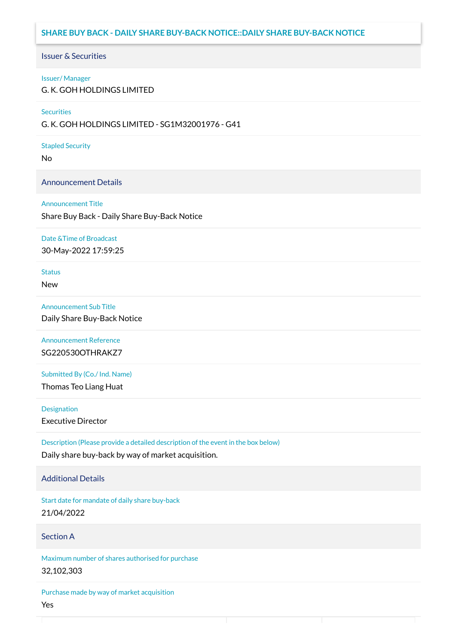# **SHARE BUY BACK - DAILY SHARE BUY-BACK NOTICE::DAILY SHARE BUY-BACK NOTICE**

### Issuer & Securities

#### Issuer/ Manager

G. K. GOH HOLDINGS LIMITED

#### **Securities**

G. K. GOH HOLDINGS LIMITED - SG1M32001976 - G41

#### Stapled Security

No

### Announcement Details

#### Announcement Title

Share Buy Back - Daily Share Buy-Back Notice

#### Date &Time of Broadcast

30-May-2022 17:59:25

# Status

New

### Announcement Sub Title

Daily Share Buy-Back Notice

## Announcement Reference SG220530OTHRAKZ7

Submitted By (Co./ Ind. Name)

Thomas Teo Liang Huat

**Designation** 

Executive Director

Description (Please provide a detailed description of the event in the box below) Daily share buy-back by way of market acquisition.

### Additional Details

Start date for mandate of daily share buy-back 21/04/2022

### Section A

Maximum number of shares authorised for purchase 32,102,303

Purchase made by way of market acquisition Yes